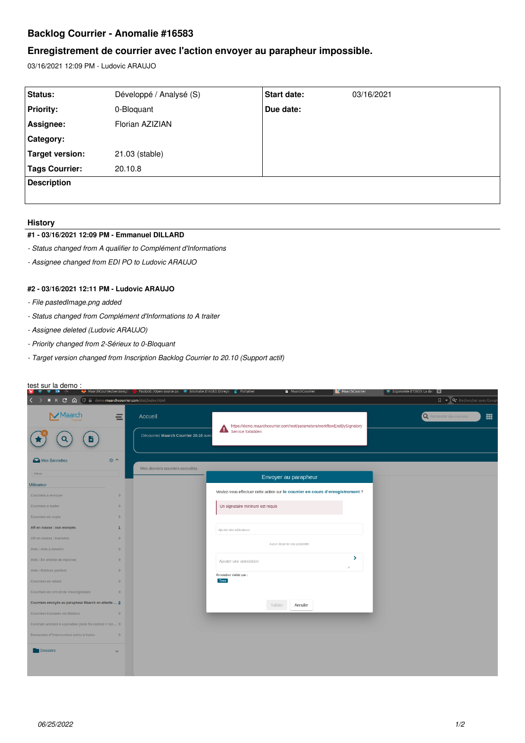# **Backlog Courrier - Anomalie #16583**

# **Enregistrement de courrier avec l'action envoyer au parapheur impossible.**

03/16/2021 12:09 PM - Ludovic ARAUJO

| Status:            | Développé / Analysé (S) | Start date: | 03/16/2021 |
|--------------------|-------------------------|-------------|------------|
| <b>Priority:</b>   | 0-Bloquant              | Due date:   |            |
| Assignee:          | Florian AZIZIAN         |             |            |
| Category:          |                         |             |            |
| Target version:    | 21.03 (stable)          |             |            |
| Tags Courrier:     | 20.10.8                 |             |            |
| <b>Description</b> |                         |             |            |
|                    |                         |             |            |

#### **History**

#### **#1 - 03/16/2021 12:09 PM - Emmanuel DILLARD**

- *Status changed from A qualifier to Complément d'Informations*
- *Assignee changed from EDI PO to Ludovic ARAUJO*

# **#2 - 03/16/2021 12:11 PM - Ludovic ARAUJO**

- *File pastedImage.png added*
- *Status changed from Complément d'Informations to A traiter*
- *Assignee deleted (Ludovic ARAUJO)*
- *Priority changed from 2-Sérieux to 0-Bloquant*
- *Target version changed from Inscription Backlog Courrier to 20.10 (Support actif)*

| test sur la demo:                                                 |                | MaarchCourrier/versions/2 (b) Passbolt   Open source pas v Anomalie #16583: Enregis   Portainer |                                                                                             | MaarchCourrier                   | MaarchCourrier | Frgonomie #15859: La dal                    |
|-------------------------------------------------------------------|----------------|-------------------------------------------------------------------------------------------------|---------------------------------------------------------------------------------------------|----------------------------------|----------------|---------------------------------------------|
| K M <b>C</b> A <b>I</b> a demo.maarchcourrier.com/dist/index.html |                |                                                                                                 |                                                                                             |                                  |                | $\Box \bullet \Box$ Q. Rechercher avec Goog |
|                                                                   | Ξ              | Accueil<br>Découvrez Maarch Courrier 20.10 avec                                                 | https://demo.maarchcourrier.com/rest/parameters/workflowEndBySignatory<br>Service forbidden |                                  |                | 冊<br>Rechercher des courriers               |
| Mes Bannettes                                                     | ☆ へ            |                                                                                                 |                                                                                             |                                  |                |                                             |
| Filtrer                                                           |                | Mes derniers courriers consultés                                                                |                                                                                             | Envoyer au parapheur             |                |                                             |
| Utilisateur                                                       |                |                                                                                                 |                                                                                             |                                  |                |                                             |
| Courriers à envoyer                                               | $\Omega$       |                                                                                                 | Voulez-vous effectuer cette action sur le courrier en cours d'enregistrement ?              |                                  |                |                                             |
| Courriers à traiter                                               | $\circ$        |                                                                                                 | Un signataire mininum est requis                                                            |                                  |                |                                             |
| Courriers en copie                                                | $\overline{0}$ |                                                                                                 |                                                                                             |                                  |                |                                             |
| AR en masse : non envoyés                                         | $\mathbf{1}$   |                                                                                                 | Ajouter des utilisateurs                                                                    |                                  |                |                                             |
| AR en masse : transmis                                            | $\circ$        |                                                                                                 |                                                                                             |                                  |                |                                             |
| Avis : Avis à émettre                                             | $\Omega$       |                                                                                                 |                                                                                             | Aucun circuit de visa paramétré. |                |                                             |
| Avis : En attente de réponse                                      | $\overline{0}$ |                                                                                                 | Ajouter une annotation                                                                      |                                  | ×.             |                                             |
| Avis : Retours partiels                                           | $\overline{0}$ |                                                                                                 | Annotation visible par:                                                                     |                                  | A.             |                                             |
| Courriers en retard                                               | $\Omega$       |                                                                                                 | Tous                                                                                        |                                  |                |                                             |
| Courriers en circuit de visa/signature                            | $\overline{0}$ |                                                                                                 |                                                                                             |                                  |                |                                             |
| Courriers envoyés au parapheur Maarch en attente  2               |                |                                                                                                 | Valider                                                                                     | Annuler                          |                |                                             |
| Courriers transmis via Maileva                                    | $\overline{0}$ |                                                                                                 |                                                                                             |                                  |                |                                             |
| Contrats arrivant à expiration (date fin contrat < 3m 0           |                |                                                                                                 |                                                                                             |                                  |                |                                             |
| Demandes d"intervention voirie à traiter                          | $\overline{0}$ |                                                                                                 |                                                                                             |                                  |                |                                             |
| <b>Dossiers</b>                                                   | $\checkmark$   |                                                                                                 |                                                                                             |                                  |                |                                             |